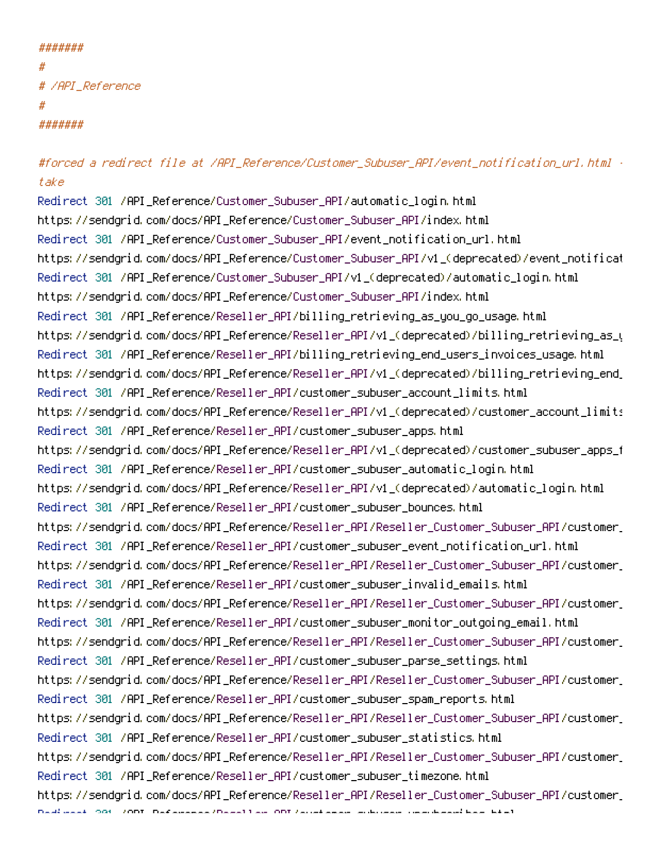#### #######

```
#
# /API_Reference
#
#######
```
# #forced a redirect file at /API\_Reference/Customer\_Subuser\_API/event\_notification\_url.html  $\cdot$ take

Redirect 301 /API\_Reference/Customer\_Subuser\_API/automatic\_login.html https://sendgrid.com/docs/API\_Reference/Customer\_Subuser\_API/index.html Redirect 301 /API\_Reference/Customer\_Subuser\_API/event\_notification\_url.html https://sendgrid.com/docs/API\_Reference/Customer\_Subuser\_API/v1\_(deprecated)/event\_notificat Redirect 301 /API\_Reference/Customer\_Subuser\_API/v1\_(deprecated)/automatic\_login.html https://sendgrid.com/docs/API\_Reference/Customer\_Subuser\_API/index.html Redirect 301 /API\_Reference/Reseller\_API/billing\_retrieving\_as\_you\_go\_usage.html https://sendgrid.com/docs/API\_Reference/Reseller\_API/v1\_(deprecated)/billing\_retrieving\_as\_u Redirect 301 /API\_Reference/Reseller\_API/billing\_retrieving\_end\_users\_invoices\_usage.html https://sendgrid.com/docs/API\_Reference/Reseller\_API/v1\_(deprecated)/billing\_retrieving\_end\_ Redirect 301 /API\_Reference/Reseller\_API/customer\_subuser\_account\_limits.html https://sendgrid.com/docs/API\_Reference/Reseller\_API/v1\_(deprecated)/customer\_account\_limits Redirect 301 /API\_Reference/Reseller\_API/customer\_subuser\_apps.html https://sendgrid.com/docs/API\_Reference/Reseller\_API/v1\_(deprecated)/customer\_subuser\_apps\_f Redirect 301 /API\_Reference/Reseller\_API/customer\_subuser\_automatic\_login.html https://sendgrid.com/docs/API\_Reference/Reseller\_API/v1\_(deprecated)/automatic\_login.html Redirect 301 /API\_Reference/Reseller\_API/customer\_subuser\_bounces.html https://sendgrid.com/docs/API\_Reference/Reseller\_API/Reseller\_Customer\_Subuser\_API/customer\_ Redirect 301 /API\_Reference/Reseller\_API/customer\_subuser\_event\_notification\_url.html https://sendgrid.com/docs/API\_Reference/Reseller\_API/Reseller\_Customer\_Subuser\_API/customer\_ Redirect 301 /API\_Reference/Reseller\_API/customer\_subuser\_invalid\_emails.html https://sendgrid.com/docs/API\_Reference/Reseller\_API/Reseller\_Customer\_Subuser\_API/customer\_ Redirect 301 /API\_Reference/Reseller\_API/customer\_subuser\_monitor\_outgoing\_email.html https://sendgrid.com/docs/API\_Reference/Reseller\_API/Reseller\_Customer\_Subuser\_API/customer\_ Redirect 301 /API\_Reference/Reseller\_API/customer\_subuser\_parse\_settings.html https://sendgrid.com/docs/API\_Reference/Reseller\_API/Reseller\_Customer\_Subuser\_API/customer\_ Redirect 301 /API\_Reference/Reseller\_API/customer\_subuser\_spam\_reports.html https://sendgrid.com/docs/API\_Reference/Reseller\_API/Reseller\_Customer\_Subuser\_API/customer\_ Redirect 301 /API\_Reference/Reseller\_API/customer\_subuser\_statistics.html https://sendgrid.com/docs/API\_Reference/Reseller\_API/Reseller\_Customer\_Subuser\_API/customer\_ Redirect 301 /API\_Reference/Reseller\_API/customer\_subuser\_timezone.html https://sendarid.com/docs/API\_Reference/Reseller\_API/Reseller\_Customer\_Subuser\_API/customer\_ Redirect 301 /API\_Reference/Reseller\_API/customer\_subuser\_unsubscribes.html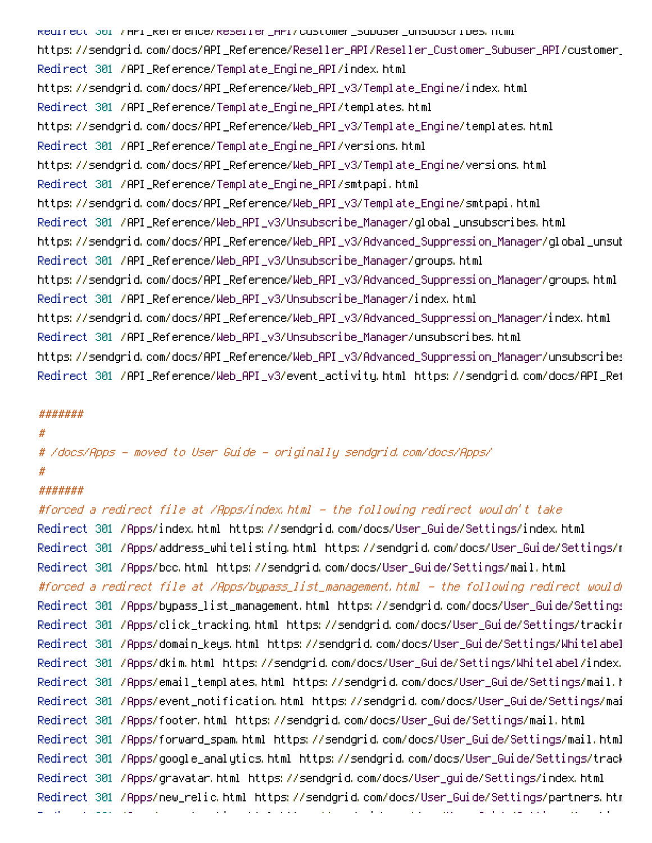Redirect 301 /API\_Reference/Reseller\_API/customer\_subuser\_unsubscribes.html https://sendqrid.com/docs/API\_Reference/Reseller\_API/Reseller\_Customer\_Subuser\_API/customer\_ Redirect 301 /API\_Reference/Template\_Engine\_API/index.html https://sendgrid.com/docs/API\_Reference/Web\_API\_v3/Template\_Engine/index.html Redirect 301 /API\_Reference/Template\_Engine\_API/templates.html https://sendgrid.com/docs/API\_Reference/Web\_API\_v3/Template\_Engine/templates.html Redirect 301 /API\_Reference/Template\_Engine\_API/versions.html https://sendgrid.com/docs/API\_Reference/Web\_API\_v3/Template\_Engine/versions.html Redirect 301 /API\_Reference/Template\_Engine\_API/smtpapi.html https://sendgrid.com/docs/API\_Reference/Web\_API\_v3/Template\_Engine/smtpapi.html Redirect 301 /API\_Reference/Web\_API\_v3/Unsubscribe\_Manager/global\_unsubscribes.html https://sendgrid.com/docs/API\_Reference/Web\_API\_v3/Advanced\_Suppression\_Manager/global\_unsub Redirect 301 /API\_Reference/Web\_API\_v3/Unsubscribe\_Manager/groups.html https://sendgrid.com/docs/API\_Reference/Web\_API\_v3/Advanced\_Suppression\_Manager/groups.html Redirect 301 /API\_Reference/Web\_API\_v3/Unsubscribe\_Manager/index.html https://sendgrid.com/docs/API\_Reference/Web\_API\_v3/Advanced\_Suppression\_Manager/index.html Redirect 301 /API\_Reference/Web\_API\_v3/Unsubscribe\_Manager/unsubscribes.html https://sendgrid.com/docs/API\_Reference/Web\_API\_v3/Advanced\_Suppression\_Manager/unsubscribes Redirect 301 /API\_Reference/Web\_API\_v3/event\_activity.html https://sendgrid.com/docs/API\_Ref

#### #######

#### #

# /docs/Apps - moved to User Guide - originally sendgrid.com/docs/Apps/ #

# #######

#forced <sup>a</sup> redirect file at /Apps/index.html - the following redirect wouldn't take

Redirect 301 /Apps/index.html https://sendgrid.com/docs/User\_Guide/Settings/index.html Redirect 301 /Apps/address\_whitelisting.html https://sendgrid.com/docs/User\_Guide/Settings/mail Redirect 301 /Apps/bcc.html https://sendgrid.com/docs/User\_Guide/Settings/mail.html #forced <sup>a</sup> redirect file at /Apps/bypass\_list\_management.html - the following redirect wouldn't take Redirect 301 /Apps/bypass\_list\_management.html https://sendgrid.com/docs/User\_Guide/Settings Redirect 301 /Apps/click\_tracking.html https://sendgrid.com/docs/User\_Guide/Settings/tracking Redirect 301 /Apps/domain\_keys.html https://sendgrid.com/docs/User\_Guide/Settings/Whitelabel Redirect 301 /Apps/dkim.html https://sendgrid.com/docs/User\_Guide/Settings/Whitelabel/index. Redirect 301 /Apps/email\_templates.html https://sendgrid.com/docs/User\_Guide/Settings/mail.html Redirect 301 /Apps/event\_notification.html https://sendgrid.com/docs/User\_Guide/Settings/mail Redirect 301 /Apps/footer.html https://sendgrid.com/docs/User\_Guide/Settings/mail.html Redirect 301 /Apps/forward\_spam.html https://sendgrid.com/docs/User\_Guide/Settings/mail.html Redirect 301 /Apps/google\_analytics.html https://sendgrid.com/docs/User\_Guide/Settings/tracking Redirect 301 /Apps/gravatar.html https://sendgrid.com/docs/User\_guide/Settings/index.html Redirect 301 /Apps/new\_relic.html https://sendgrid.com/docs/User\_Guide/Settings/partners.html Redirect 301 /Apps/open\_tracking.html https://sendgrid.com/docs/User\_Guide/Settings/tracking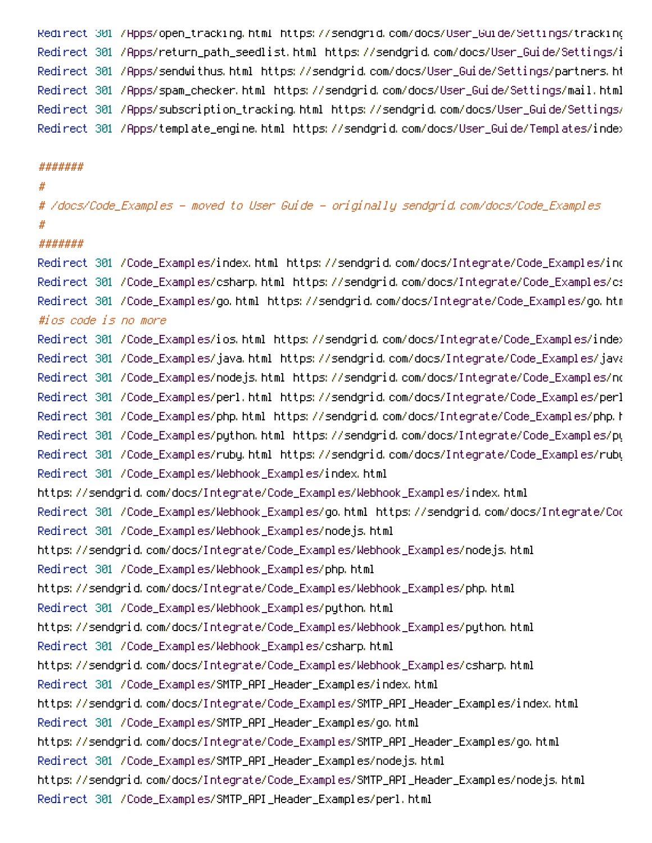Redirect 301 /Apps/open\_tracking.html https://sendgrid.com/docs/User\_Guide/Settings/tracking Redirect 301 /Apps/return\_path\_seedlist.html https://sendgrid.com/docs/User\_Guide/Settings/index Redirect 301 /Apps/sendwithus.html https://sendgrid.com/docs/User\_Guide/Settings/partners.ht Redirect 301 /Apps/spam\_checker.html https://sendgrid.com/docs/User\_Guide/Settings/mail.html Redirect 301 /Apps/subscription\_tracking.html https://sendgrid.com/docs/User\_Guide/Settings/ Redirect 301 /Apps/template\_engine.html https://sendgrid.com/docs/User\_Guide/Templates/index

#### #######

#### #

# /docs/Code\_Examples - moved to User Guide - originally sendgrid.com/docs/Code\_Examples #

# #######

Redirect 301 /Code\_Examples/index.html https://sendgrid.com/docs/Integrate/Code\_Examples/ind Redirect 301 /Code\_Examples/csharp.html https://sendgrid.com/docs/Integrate/Code\_Examples/csharp Redirect 301 /Code\_Examples/go.html https://sendgrid.com/docs/Integrate/Code\_Examples/go.html #ios code is no more

Redirect 301 /Code\_Examples/ios.html https://sendgrid.com/docs/Integrate/Code\_Examples/index Redirect 301 /Code\_Examples/java.html https://sendgrid.com/docs/Integrate/Code\_Examples/java Redirect 301 /Code\_Examples/nodejs.html https://sendgrid.com/docs/Integrate/Code\_Examples/no Redirect 301 /Code\_Examples/perl.html https://sendgrid.com/docs/Integrate/Code\_Examples/perl Redirect 301 /Code\_Examples/php.html https://sendgrid.com/docs/Integrate/Code\_Examples/php.h Redirect 301 /Code\_Examples/python.html https://sendgrid.com/docs/Integrate/Code\_Examples/py Redirect 301 /Code\_Examples/ruby.html https://sendgrid.com/docs/Integrate/Code\_Examples/ruby Redirect 301 /Code\_Examples/Webhook\_Examples/index.html https://sendgrid.com/docs/Integrate/Code\_Examples/Webhook\_Examples/index.html Redirect 301 /Code\_Examples/Webhook\_Examples/go.html https://sendgrid.com/docs/Integrate/Code\_Examples Redirect 301 /Code\_Examples/Webhook\_Examples/nodejs.html https://sendgrid.com/docs/Integrate/Code\_Examples/Webhook\_Examples/nodejs.html Redirect 301 /Code\_Examples/Webhook\_Examples/php.html https://sendgrid.com/docs/Integrate/Code\_Examples/Webhook\_Examples/php.html Redirect 301 /Code\_Examples/Webhook\_Examples/python.html https://sendgrid.com/docs/Integrate/Code\_Examples/Webhook\_Examples/python.html Redirect 301 /Code\_Examples/Webhook\_Examples/csharp.html https://sendgrid.com/docs/Integrate/Code\_Examples/Webhook\_Examples/csharp.html Redirect 301 /Code\_Examples/SMTP\_API\_Header\_Examples/index.html https://sendgrid.com/docs/Integrate/Code\_Examples/SMTP\_API\_Header\_Examples/index.html Redirect 301 /Code\_Examples/SMTP\_API\_Header\_Examples/go.html https://sendgrid.com/docs/Integrate/Code\_Examples/SMTP\_API\_Header\_Examples/go.html Redirect 301 /Code\_Examples/SMTP\_API\_Header\_Examples/nodejs.html https://sendgrid.com/docs/Integrate/Code\_Examples/SMTP\_API\_Header\_Examples/nodejs.html Redirect 301 /Code\_Examples/SMTP\_API\_Header\_Examples/perl.html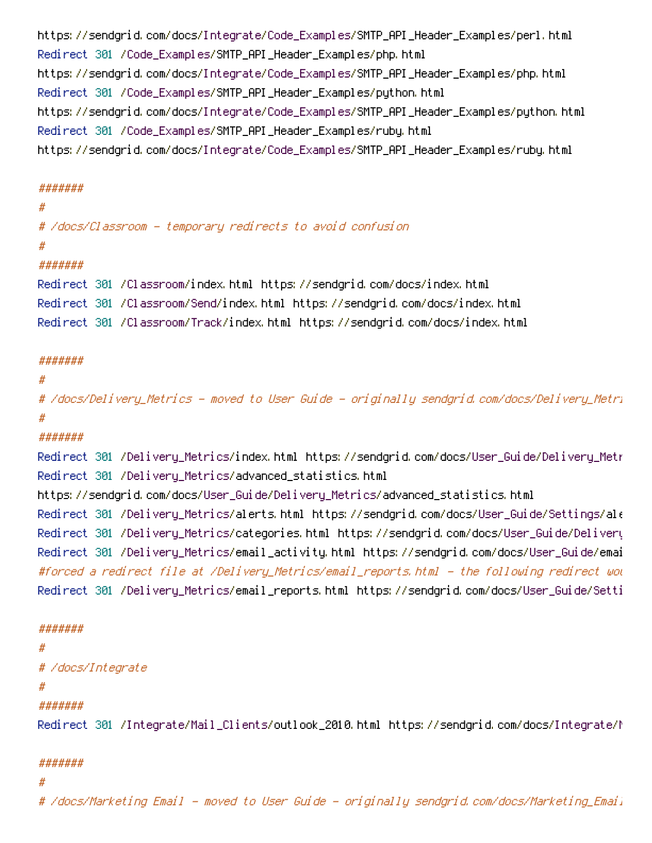https://sendgrid.com/docs/Integrate/Code\_Examples/SMTP\_API\_Header\_Examples/perl.html Redirect 301 /Code\_Examples/SMTP\_API\_Header\_Examples/php.html https://sendgrid.com/docs/Integrate/Code\_Examples/SMTP\_API\_Header\_Examples/php.html Redirect 301 /Code\_Examples/SMTP\_API\_Header\_Examples/python.html https://sendgrid.com/docs/Integrate/Code\_Examples/SMTP\_API\_Header\_Examples/python.html Redirect 301 /Code\_Examples/SMTP\_API\_Header\_Examples/ruby.html https://sendgrid.com/docs/Integrate/Code\_Examples/SMTP\_API\_Header\_Examples/ruby.html

### #######

#### #

```
# /docs/Classroom - temporary redirects to avoid confusion
```
#### #

## #######

Redirect 301 /Classroom/index.html https://sendgrid.com/docs/index.html Redirect 301 /Classroom/Send/index.html https://sendgrid.com/docs/index.html Redirect 301 /Classroom/Track/index.html https://sendgrid.com/docs/index.html

## #######

## #

# /docs/Delivery\_Metrics - moved to User Guide - originally sendgrid.com/docs/Delivery\_Metrics/ #

# #######

Redirect 301 /Delivery\_Metrics/index.html https://sendgrid.com/docs/User\_Guide/Delivery\_Metr Redirect 301 /Delivery\_Metrics/advanced\_statistics.html https://sendgrid.com/docs/User\_Guide/Delivery\_Metrics/advanced\_statistics.html Redirect 301 /Delivery\_Metrics/alerts.html https://sendgrid.com/docs/User\_Guide/Settings/alerts Redirect 301 /Delivery\_Metrics/categories.html https://sendgrid.com/docs/User\_Guide/Delivery\_Metrics Redirect 301 /Delivery\_Metrics/email\_activity.html https://sendgrid.com/docs/User\_Guide/emai #forced a redirect file at /Delivery\_Metrics/email\_reports.html - the following redirect wou Redirect 301 /Delivery\_Metrics/email\_reports.html https://sendgrid.com/docs/User\_Guide/Setti

### #######

# #

```
# /docs/Integrate
```
### #

# #######

Redirect 301 /Integrate/Mail\_Clients/outlook\_2010.html https://sendgrid.com/docs/Integrate/Mail\_Clients

### #######

### #

# /docs/Marketing Email - moved to User Guide - originally sendgrid.com/docs/Marketing\_Emails/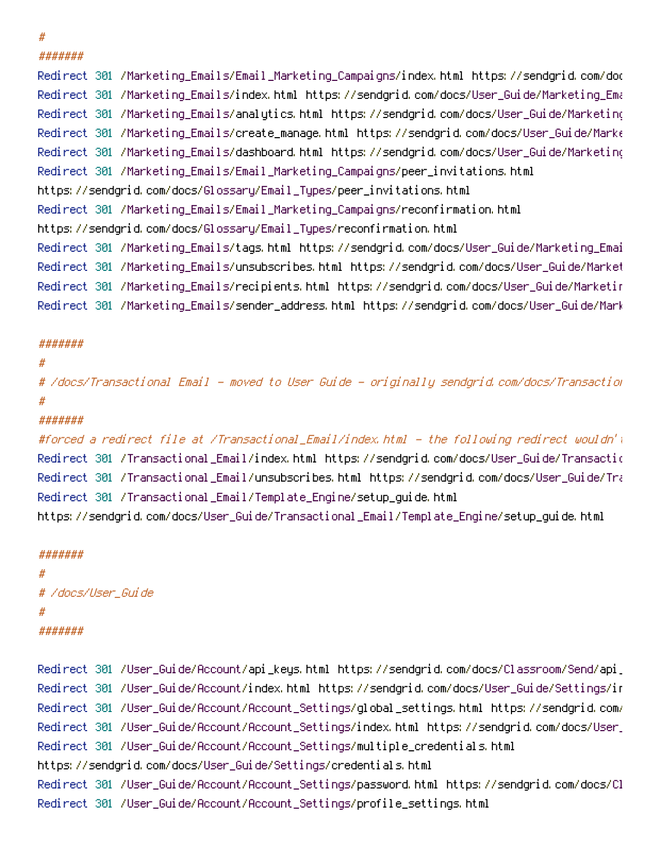#### #

#######

Redirect 301 /Marketing\_Emails/Email\_Marketing\_Campaigns/index.html https://sendgrid.com/docs Redirect 301 /Marketing\_Emails/index.html https://sendgrid.com/docs/User\_Guide/Marketing\_Emails Redirect 301 /Marketing\_Emails/analytics.html https://sendgrid.com/docs/User\_Guide/Marketing\_Emails Redirect 301 /Marketing\_Emails/create\_manage.html https://sendgrid.com/docs/User\_Guide/Mark $\epsilon$ Redirect 301 /Marketing\_Emails/dashboard.html https://sendgrid.com/docs/User\_Guide/Marketing Redirect 301 /Marketing\_Emails/Email\_Marketing\_Campaigns/peer\_invitations.html https://sendgrid.com/docs/Glossary/Email\_Types/peer\_invitations.html Redirect 301 /Marketing\_Emails/Email\_Marketing\_Campaigns/reconfirmation.html https://sendgrid.com/docs/Glossary/Email\_Types/reconfirmation.html Redirect 301 /Marketing\_Emails/tags.html https://sendgrid.com/docs/User\_Guide/Marketing\_Emails Redirect 301 /Marketing\_Emails/unsubscribes.html https://sendgrid.com/docs/User\_Guide/Marketing\_Emails Redirect 301 /Marketing\_Emails/recipients.html https://sendgrid.com/docs/User\_Guide/Marketing\_Emails Redirect 301 /Marketing\_Emails/sender\_address.html https://sendgrid.com/docs/User\_Guide/Marketing\_Emails

### #######

```
#
```
# /docs/Transactional Email - moved to User Guide - originally sendgrid.com/docs/Transactional\_Email #

# #######

#forced a redirect file at /Transactional\_Email/index.html - the following redirect wouldn't Redirect 301 /Transactional\_Email/index.html https://sendgrid.com/docs/User\_Guide/Transactio Redirect 301 /Transactional\_Email/unsubscribes.html https://sendgrid.com/docs/User\_Guide/Transactional\_Email Redirect 301 /Transactional\_Email/Template\_Engine/setup\_guide.html https://sendgrid.com/docs/User\_Guide/Transactional\_Email/Template\_Engine/setup\_guide.html

#### #######

# # /docs/User\_Guide # #######

Redirect 301 /User\_Guide/Account/api\_keys.html https://sendgrid.com/docs/Classroom/Send/api\_keys Redirect 301 /User\_Guide/Account/index.html https://sendgrid.com/docs/User\_Guide/Settings/in Redirect 301 /User\_Guide/Account/Account\_Settings/global\_settings.html https://sendgrid.com/ Redirect 301 /User\_Guide/Account/Account\_Settings/index.html https://sendgrid.com/docs/User\_Guide Redirect 301 /User\_Guide/Account/Account\_Settings/multiple\_credentials.html https://sendgrid.com/docs/User\_Guide/Settings/credentials.html Redirect 301 /User\_Guide/Account/Account\_Settings/password.html https://sendgrid.com/docs/Cl Redirect 301 /User\_Guide/Account/Account\_Settings/profile\_settings.html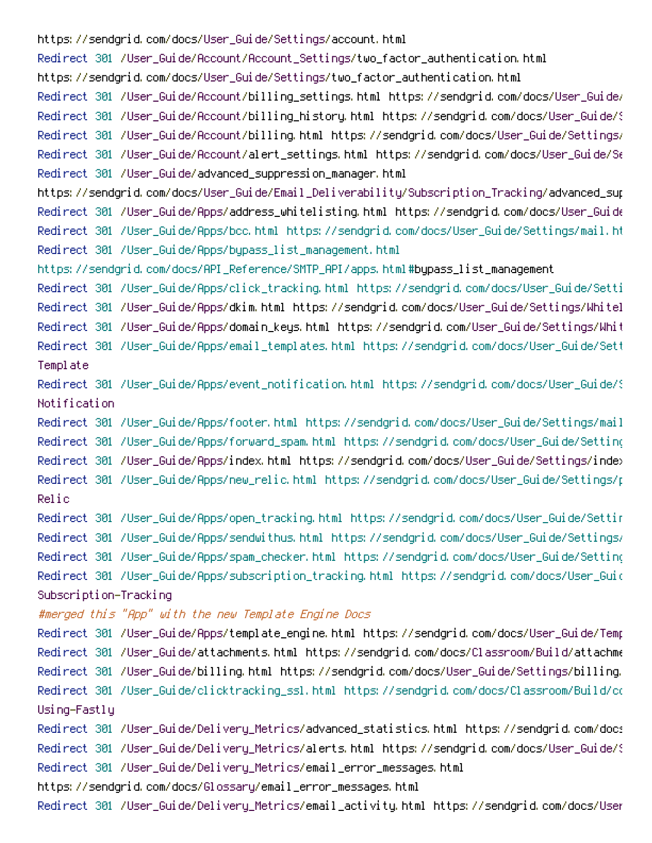https://sendgrid.com/docs/User\_Guide/Settings/account.html Redirect 301 /User\_Guide/Account/Account\_Settings/two\_factor\_authentication.html https://sendgrid.com/docs/User\_Guide/Settings/two\_factor\_authentication.html Redirect 301 /User\_Guide/Account/billing\_settings.html https://sendgrid.com/docs/User\_Guide/ Redirect 301 /User\_Guide/Account/billing\_history.html https://sendgrid.com/docs/User\_Guide/S Redirect 301 /User\_Guide/Account/billing.html https://sendgrid.com/docs/User\_Guide/Settings/ Redirect 301 /User\_Guide/Account/alert\_settings.html https://sendgrid.com/docs/User\_Guide/S $\epsilon$ Redirect 301 /User\_Guide/advanced\_suppression\_manager.html https://sendgrid.com/docs/User\_Guide/Email\_Deliverability/Subscription\_Tracking/advanced\_sup Redirect 301 /User\_Guide/Apps/address\_whitelisting.html https://sendgrid.com/docs/User\_Guide Redirect 301 /User\_Guide/Apps/bcc.html https://sendgrid.com/docs/User\_Guide/Settings/mail.ht Redirect 301 /User\_Guide/Apps/bypass\_list\_management.html https://sendgrid.com/docs/API\_Reference/SMTP\_API/apps.html#bypass\_list\_management Redirect 301 /User\_Guide/Apps/click\_tracking.html https://sendgrid.com/docs/User\_Guide/Setti Redirect 301 /User\_Guide/Apps/dkim.html https://sendgrid.com/docs/User\_Guide/Settings/Whitel Redirect 301 /User\_Guide/Apps/domain\_keys.html https://sendgrid.com/User\_Guide/Settings/Whit Redirect 301 /User\_Guide/Apps/email\_templates.html https://sendgrid.com/docs/User\_Guide/Settings/mail.html# Template Redirect 301 /User\_Guide/Apps/event\_notification.html https://sendgrid.com/docs/User\_Guide/S Notification Redirect 301 /User\_Guide/Apps/footer.html https://sendgrid.com/docs/User\_Guide/Settings/mail Redirect 301 /User\_Guide/Apps/forward\_spam.html https://sendgrid.com/docs/User\_Guide/Settings/mail.html# Redirect 301 /User\_Guide/Apps/index.html https://sendgrid.com/docs/User\_Guide/Settings/index Redirect 301 /User\_Guide/Apps/new\_relic.html https://sendgrid.com/docs/User\_Guide/Settings/p Relic Redirect 301 /User\_Guide/Apps/open\_tracking.html https://sendgrid.com/docs/User\_Guide/Settings/tracking.html# Redirect 301 /User\_Guide/Apps/sendwithus.html https://sendgrid.com/docs/User\_Guide/Settings/ Redirect 301 /User\_Guide/Apps/spam\_checker.html https://sendgrid.com/docs/User\_Guide/Setting Redirect 301 /User\_Guide/Apps/subscription\_tracking.html https://sendgrid.com/docs/User\_Guid Subscription-Tracking #merged this "App" with the new Template Engine Docs Redirect 301 /User\_Guide/Apps/template\_engine.html https://sendgrid.com/docs/User\_Guide/Temp Redirect 301 /User\_Guide/attachments.html https://sendgrid.com/docs/Classroom/Build/attachme Redirect 301 /User\_Guide/billing.html https://sendgrid.com/docs/User\_Guide/Settings/billing. Redirect 301 /User\_Guide/clicktracking\_ssl.html https://sendgrid.com/docs/Classroom/Build/co Using-Fastly Redirect 301 /User\_Guide/Delivery\_Metrics/advanced\_statistics.html https://sendgrid.com/docs Redirect 301 /User\_Guide/Delivery\_Metrics/alerts.html https://sendgrid.com/docs/User\_Guide/S Redirect 301 /User\_Guide/Delivery\_Metrics/email\_error\_messages.html https://sendgrid.com/docs/Glossary/email\_error\_messages.html Redirect 301 /User\_Guide/Delivery\_Metrics/email\_activity.html https://sendgrid.com/docs/User\_Guide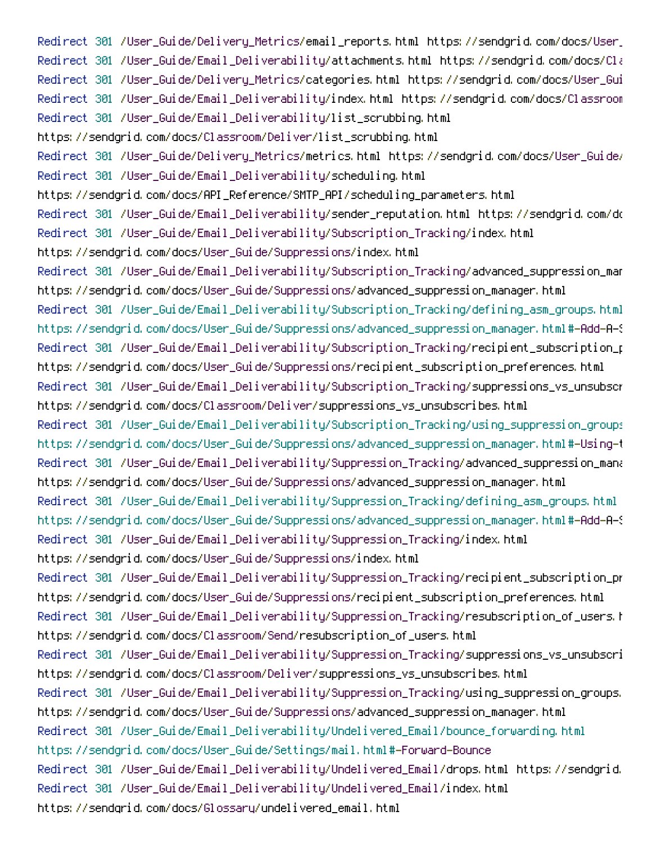Redirect 301 /User\_Guide/Delivery\_Metrics/email\_reports.html https://sendgrid.com/docs/User\_Guide Redirect 301 /User\_Guide/Email\_Deliverability/attachments.html https://sendgrid.com/docs/Cla Redirect 301 /User\_Guide/Delivery\_Metrics/categories.html https://sendgrid.com/docs/User\_Guide Redirect 301 /User\_Guide/Email\_Deliverability/index.html https://sendgrid.com/docs/Classroom Redirect 301 /User\_Guide/Email\_Deliverability/list\_scrubbing.html https://sendgrid.com/docs/Classroom/Deliver/list\_scrubbing.html Redirect 301 /User\_Guide/Delivery\_Metrics/metrics.html https://sendgrid.com/docs/User\_Guide/ Redirect 301 /User\_Guide/Email\_Deliverability/scheduling.html https://sendgrid.com/docs/API\_Reference/SMTP\_API/scheduling\_parameters.html Redirect 301 /User\_Guide/Email\_Deliverability/sender\_reputation.html https://sendgrid.com/docs Redirect 301 /User\_Guide/Email\_Deliverability/Subscription\_Tracking/index.html https://sendgrid.com/docs/User\_Guide/Suppressions/index.html Redirect 301 /User\_Guide/Email\_Deliverability/Subscription\_Tracking/advanced\_suppression\_man https://sendgrid.com/docs/User\_Guide/Suppressions/advanced\_suppression\_manager.html Redirect 301 /User\_Guide/Email\_Deliverability/Subscription\_Tracking/defining\_asm\_groups.html https://sendgrid.com/docs/User\_Guide/Suppressions/advanced\_suppression\_manager.html#-Add-A-S Redirect 301 /User\_Guide/Email\_Deliverability/Subscription\_Tracking/recipient\_subscription\_p https://sendgrid.com/docs/User\_Guide/Suppressions/recipient\_subscription\_preferences.html Redirect 301 /User\_Guide/Email\_Deliverability/Subscription\_Tracking/suppressions\_vs\_unsubscribes https://sendgrid.com/docs/Classroom/Deliver/suppressions\_vs\_unsubscribes.html Redirect 301 /User\_Guide/Email\_Deliverability/Subscription\_Tracking/using\_suppression\_groups.html https://sendgrid.com/docs/User\_Guide/Suppressions/advanced\_suppression\_manager.html#-Using-the-API Redirect 301 /User\_Guide/Email\_Deliverability/Suppression\_Tracking/advanced\_suppression\_mana https://sendgrid.com/docs/User\_Guide/Suppressions/advanced\_suppression\_manager.html Redirect 301 /User\_Guide/Email\_Deliverability/Suppression\_Tracking/defining\_asm\_groups.html https://sendgrid.com/docs/User\_Guide/Suppressions/advanced\_suppression\_manager.html#-Add-A-S Redirect 301 /User\_Guide/Email\_Deliverability/Suppression\_Tracking/index.html https://sendgrid.com/docs/User\_Guide/Suppressions/index.html Redirect 301 /User\_Guide/Email\_Deliverability/Suppression\_Tracking/recipient\_subscription\_pr https://sendgrid.com/docs/User\_Guide/Suppressions/recipient\_subscription\_preferences.html Redirect 301 /User\_Guide/Email\_Deliverability/Suppression\_Tracking/resubscription\_of\_users.h https://sendgrid.com/docs/Classroom/Send/resubscription\_of\_users.html Redirect 301 /User\_Guide/Email\_Deliverability/Suppression\_Tracking/suppressions\_vs\_unsubscribes https://sendgrid.com/docs/Classroom/Deliver/suppressions\_vs\_unsubscribes.html Redirect 301 /User\_Guide/Email\_Deliverability/Suppression\_Tracking/using\_suppression\_groups. https://sendgrid.com/docs/User\_Guide/Suppressions/advanced\_suppression\_manager.html Redirect 301 /User\_Guide/Email\_Deliverability/Undelivered\_Email/bounce\_forwarding.html https://sendgrid.com/docs/User\_Guide/Settings/mail.html#-Forward-Bounce Redirect 301 /User\_Guide/Email\_Deliverability/Undelivered\_Email/drops.html https://sendgrid. Redirect 301 /User\_Guide/Email\_Deliverability/Undelivered\_Email/index.html https://sendgrid.com/docs/Glossary/undelivered\_email.html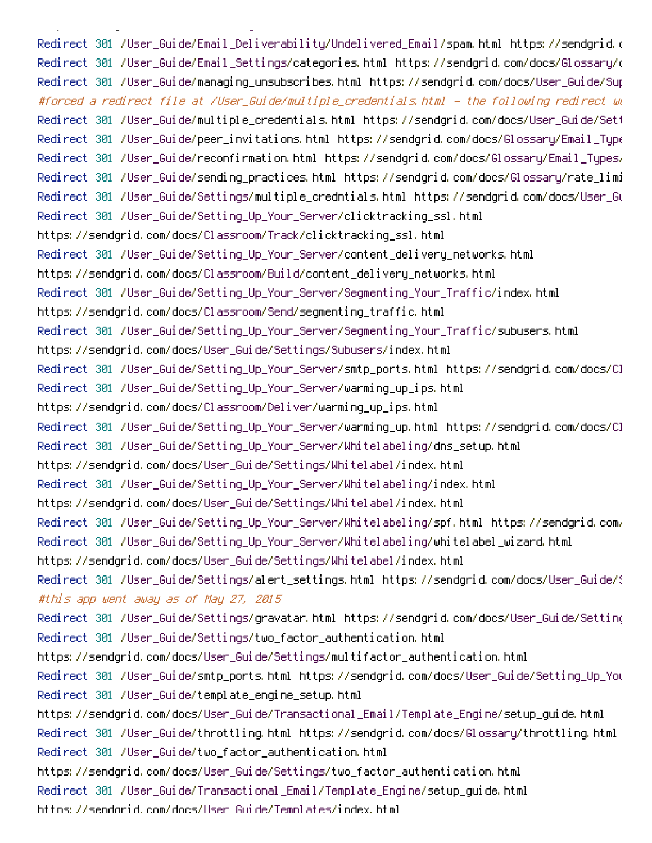Redirect 301 /User\_Guide/Email\_Deliverability/Undelivered\_Email/spam.html https://sendgrid.com Redirect 301 /User\_Guide/Email\_Settings/categories.html https://sendgrid.com/docs/Glossary/categories Redirect 301 /User\_Guide/managing\_unsubscribes.html https://sendgrid.com/docs/User\_Guide/Sup #forced <sup>a</sup> redirect file at /User\_Guide/multiple\_credentials.html - the following redirect wouldn't take Redirect 301 /User\_Guide/multiple\_credentials.html https://sendgrid.com/docs/User\_Guide/Settings Redirect 301 /User\_Guide/peer\_invitations.html https://sendgrid.com/docs/Glossary/Email\_Types Redirect 301 /User\_Guide/reconfirmation.html https://sendgrid.com/docs/Glossary/Email\_Types/ Redirect 301 /User\_Guide/sending\_practices.html https://sendgrid.com/docs/Glossary/rate\_limi Redirect 301 /User\_Guide/Settings/multiple\_credntials.html https://sendgrid.com/docs/User\_Guide Redirect 301 /User\_Guide/Setting\_Up\_Your\_Server/clicktracking\_ssl.html https://sendgrid.com/docs/Classroom/Track/clicktracking\_ssl.html Redirect 301 /User\_Guide/Setting\_Up\_Your\_Server/content\_delivery\_networks.html https://sendgrid.com/docs/Classroom/Build/content\_delivery\_networks.html Redirect 301 /User\_Guide/Setting\_Up\_Your\_Server/Segmenting\_Your\_Traffic/index.html https://sendgrid.com/docs/Classroom/Send/segmenting\_traffic.html Redirect 301 /User\_Guide/Setting\_Up\_Your\_Server/Segmenting\_Your\_Traffic/subusers.html https://sendgrid.com/docs/User\_Guide/Settings/Subusers/index.html Redirect 301 /User\_Guide/Setting\_Up\_Your\_Server/smtp\_ports.html https://sendgrid.com/docs/Cl Redirect 301 /User\_Guide/Setting\_Up\_Your\_Server/warming\_up\_ips.html https://sendgrid.com/docs/Classroom/Deliver/warming\_up\_ips.html Redirect 301 /User\_Guide/Setting\_Up\_Your\_Server/warming\_up.html https://sendgrid.com/docs/Cl Redirect 301 /User\_Guide/Setting\_Up\_Your\_Server/Whitelabeling/dns\_setup.html https://sendgrid.com/docs/User\_Guide/Settings/Whitelabel/index.html Redirect 301 /User\_Guide/Setting\_Up\_Your\_Server/Whitelabeling/index.html https://sendgrid.com/docs/User\_Guide/Settings/Whitelabel/index.html Redirect 301 /User\_Guide/Setting\_Up\_Your\_Server/Whitelabeling/spf.html https://sendgrid.com/ Redirect 301 /User\_Guide/Setting\_Up\_Your\_Server/Whitelabeling/whitelabel\_wizard.html https://sendgrid.com/docs/User\_Guide/Settings/Whitelabel/index.html Redirect 301 /User\_Guide/Settings/alert\_settings.html https://sendgrid.com/docs/User\_Guide/S #this app went away as of May 27, 2015 Redirect 301 /User\_Guide/Settings/gravatar.html https://sendgrid.com/docs/User\_Guide/Settings Redirect 301 /User\_Guide/Settings/two\_factor\_authentication.html https://sendgrid.com/docs/User\_Guide/Settings/multifactor\_authentication.html Redirect 301 /User\_Guide/smtp\_ports.html https://sendgrid.com/docs/User\_Guide/Setting\_Up\_Your\_Server Redirect 301 /User\_Guide/template\_engine\_setup.html https://sendgrid.com/docs/User\_Guide/Transactional\_Email/Template\_Engine/setup\_guide.html Redirect 301 /User\_Guide/throttling.html https://sendgrid.com/docs/Glossary/throttling.html Redirect 301 /User\_Guide/two\_factor\_authentication.html https://sendgrid.com/docs/User\_Guide/Settings/two\_factor\_authentication.html Redirect 301 /User\_Guide/Transactional\_Email/Template\_Engine/setup\_guide.html https://sendgrid.com/docs/User\_Guide/Templates/index.html

https://sendgrid.com/docs/Glossary/undelivered\_email.html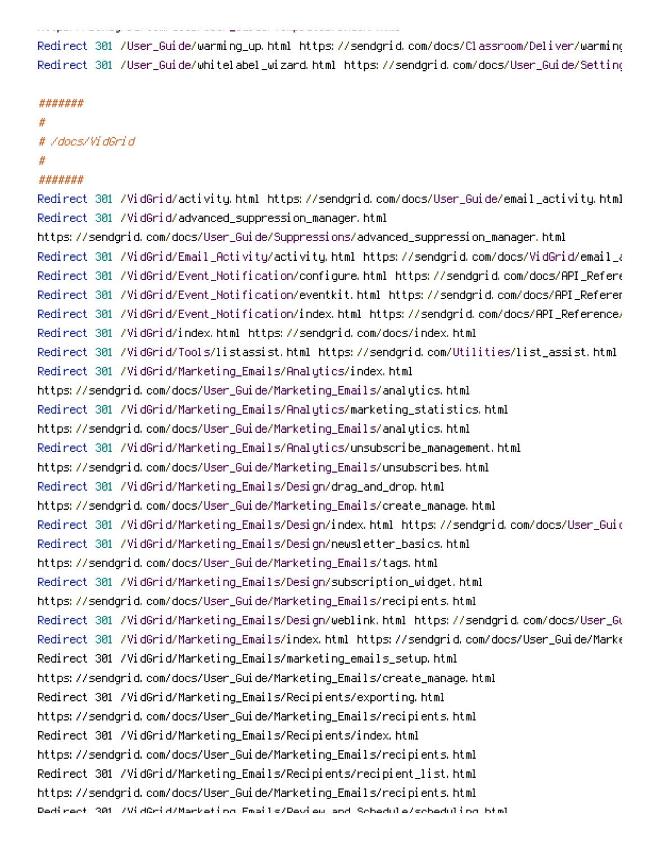https://sendgrid.com/docs/User\_Guide/Templates/index.html

Redirect 301 /User\_Guide/warming\_up.html https://sendgrid.com/docs/Classroom/Deliver/warming\_up\_ips Redirect 301 /User\_Guide/whitelabel\_wizard.html https://sendgrid.com/docs/User\_Guide/Settings

#### #######

#### #

# /docs/VidGrid

# #

### #######

Redirect 301 /VidGrid/activity.html https://sendgrid.com/docs/User\_Guide/email\_activity.html Redirect 301 /VidGrid/advanced\_suppression\_manager.html https://sendgrid.com/docs/User\_Guide/Suppressions/advanced\_suppression\_manager.html Redirect 301 /VidGrid/Email\_Activity/activity.html https://sendgrid.com/docs/VidGrid/email\_activity Redirect 301 /VidGrid/Event\_Notification/configure.html https://sendgrid.com/docs/API\_Refere Redirect 301 /VidGrid/Event\_Notification/eventkit.html https://sendgrid.com/docs/API\_Reference Redirect 301 /VidGrid/Event\_Notification/index.html https://sendgrid.com/docs/API\_Reference/ Redirect 301 /VidGrid/index.html https://sendgrid.com/docs/index.html Redirect 301 /VidGrid/Tools/listassist.html https://sendgrid.com/Utilities/list\_assist.html Redirect 301 /VidGrid/Marketing\_Emails/Analytics/index.html https://sendgrid.com/docs/User\_Guide/Marketing\_Emails/analytics.html Redirect 301 /VidGrid/Marketing\_Emails/Analytics/marketing\_statistics.html https://sendgrid.com/docs/User\_Guide/Marketing\_Emails/analytics.html Redirect 301 /VidGrid/Marketing\_Emails/Analytics/unsubscribe\_management.html https://sendgrid.com/docs/User\_Guide/Marketing\_Emails/unsubscribes.html Redirect 301 /VidGrid/Marketing\_Emails/Design/drag\_and\_drop.html https://sendgrid.com/docs/User\_Guide/Marketing\_Emails/create\_manage.html Redirect 301 /VidGrid/Marketing\_Emails/Design/index.html https://sendgrid.com/docs/User\_Guide Redirect 301 /VidGrid/Marketing\_Emails/Design/newsletter\_basics.html https://sendgrid.com/docs/User\_Guide/Marketing\_Emails/tags.html Redirect 301 /VidGrid/Marketing\_Emails/Design/subscription\_widget.html https://sendgrid.com/docs/User\_Guide/Marketing\_Emails/recipients.html Redirect 301 /VidGrid/Marketing\_Emails/Design/weblink.html https://sendgrid.com/docs/User\_Guide Redirect 301 /VidGrid/Marketing\_Emails/index.html https://sendgrid.com/docs/User\_Guide/Mark $\epsilon$ Redirect 301 /VidGrid/Marketing\_Emails/marketing\_emails\_setup.html https://sendgrid.com/docs/User\_Guide/Marketing\_Emails/create\_manage.html Redirect 301 /VidGrid/Marketing\_Emails/Recipients/exporting.html https://sendgrid.com/docs/User\_Guide/Marketing\_Emails/recipients.html Redirect 301 /VidGrid/Marketing\_Emails/Recipients/index.html https://sendgrid.com/docs/User\_Guide/Marketing\_Emails/recipients.html Redirect 301 /VidGrid/Marketing\_Emails/Recipients/recipient\_list.html https://sendgrid.com/docs/User\_Guide/Marketing\_Emails/recipients.html Redirect 301 /VidGrid/Marketing\_Emails/Review\_and\_Schedule/scheduling.html